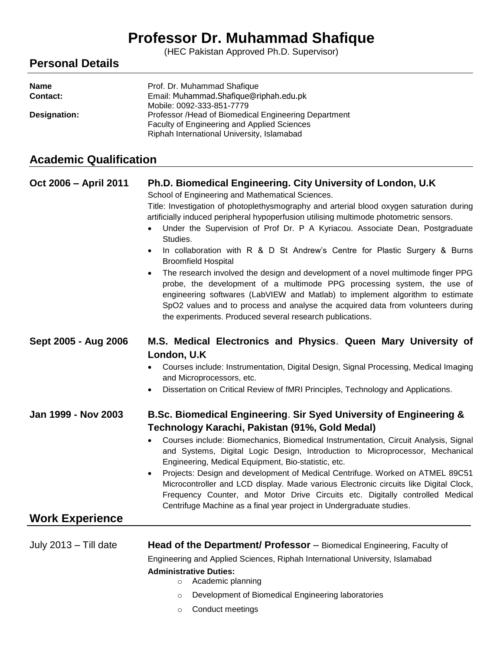# **Professor Dr. Muhammad Shafique**

(HEC Pakistan Approved Ph.D. Supervisor)

# **Personal Details**

| <b>Name</b>  | Prof. Dr. Muhammad Shafique                          |
|--------------|------------------------------------------------------|
| Contact:     | Email: Muhammad.Shafique@riphah.edu.pk               |
|              | Mobile: 0092-333-851-7779                            |
| Designation: | Professor /Head of Biomedical Engineering Department |
|              | Faculty of Engineering and Applied Sciences          |
|              | Riphah International University, Islamabad           |

# **Academic Qualification**

| Oct 2006 - April 2011                         | Ph.D. Biomedical Engineering. City University of London, U.K.<br>School of Engineering and Mathematical Sciences.<br>Title: Investigation of photoplethysmography and arterial blood oxygen saturation during<br>artificially induced peripheral hypoperfusion utilising multimode photometric sensors.<br>Under the Supervision of Prof Dr. P A Kyriacou. Associate Dean, Postgraduate<br>Studies.<br>In collaboration with R & D St Andrew's Centre for Plastic Surgery & Burns<br>$\bullet$<br><b>Broomfield Hospital</b><br>The research involved the design and development of a novel multimode finger PPG<br>probe, the development of a multimode PPG processing system, the use of<br>engineering softwares (LabVIEW and Matlab) to implement algorithm to estimate<br>SpO2 values and to process and analyse the acquired data from volunteers during<br>the experiments. Produced several research publications. |
|-----------------------------------------------|-----------------------------------------------------------------------------------------------------------------------------------------------------------------------------------------------------------------------------------------------------------------------------------------------------------------------------------------------------------------------------------------------------------------------------------------------------------------------------------------------------------------------------------------------------------------------------------------------------------------------------------------------------------------------------------------------------------------------------------------------------------------------------------------------------------------------------------------------------------------------------------------------------------------------------|
| Sept 2005 - Aug 2006                          | M.S. Medical Electronics and Physics. Queen Mary University of<br>London, U.K<br>Courses include: Instrumentation, Digital Design, Signal Processing, Medical Imaging<br>$\bullet$<br>and Microprocessors, etc.<br>Dissertation on Critical Review of fMRI Principles, Technology and Applications.<br>$\bullet$                                                                                                                                                                                                                                                                                                                                                                                                                                                                                                                                                                                                            |
| Jan 1999 - Nov 2003<br><b>Work Experience</b> | B.Sc. Biomedical Engineering. Sir Syed University of Engineering &<br>Technology Karachi, Pakistan (91%, Gold Medal)<br>Courses include: Biomechanics, Biomedical Instrumentation, Circuit Analysis, Signal<br>$\bullet$<br>and Systems, Digital Logic Design, Introduction to Microprocessor, Mechanical<br>Engineering, Medical Equipment, Bio-statistic, etc.<br>Projects: Design and development of Medical Centrifuge. Worked on ATMEL 89C51<br>$\bullet$<br>Microcontroller and LCD display. Made various Electronic circuits like Digital Clock,<br>Frequency Counter, and Motor Drive Circuits etc. Digitally controlled Medical<br>Centrifuge Machine as a final year project in Undergraduate studies.                                                                                                                                                                                                            |
| July 2013 - Till date                         | Head of the Department/ Professor - Biomedical Engineering, Faculty of<br>Engineering and Applied Sciences, Riphah International University, Islamabad<br><b>Administrative Duties:</b><br>Academic planning<br>$\circ$<br>Development of Biomedical Engineering laboratories<br>$\circ$                                                                                                                                                                                                                                                                                                                                                                                                                                                                                                                                                                                                                                    |

o Conduct meetings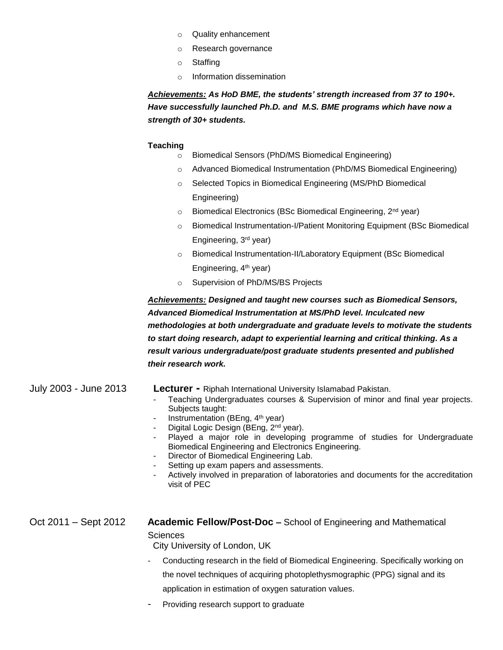- o Quality enhancement
- o Research governance
- o Staffing
- o Information dissemination

*Achievements: As HoD BME, the students' strength increased from 37 to 190+. Have successfully launched Ph.D. and M.S. BME programs which have now a strength of 30+ students.*

#### **Teaching**

- o Biomedical Sensors (PhD/MS Biomedical Engineering)
- o Advanced Biomedical Instrumentation (PhD/MS Biomedical Engineering)
- o Selected Topics in Biomedical Engineering (MS/PhD Biomedical Engineering)
- o Biomedical Electronics (BSc Biomedical Engineering, 2<sup>nd</sup> year)
- o Biomedical Instrumentation-I/Patient Monitoring Equipment (BSc Biomedical Engineering, 3 rd year)
- o Biomedical Instrumentation-II/Laboratory Equipment (BSc Biomedical Engineering, 4th year)
- o Supervision of PhD/MS/BS Projects

*Achievements: Designed and taught new courses such as Biomedical Sensors, Advanced Biomedical Instrumentation at MS/PhD level. Inculcated new methodologies at both undergraduate and graduate levels to motivate the students to start doing research, adapt to experiential learning and critical thinking. As a result various undergraduate/post graduate students presented and published their research work.*

| July 2003 - June 2013 | <b>Lecturer -</b> Riphah International University Islamabad Pakistan.<br>Teaching Undergraduates courses & Supervision of minor and final year projects.<br>Subjects taught:<br>Instrumentation (BEng, 4 <sup>th</sup> year)<br>۰.<br>Digital Logic Design (BEng, 2 <sup>nd</sup> year).<br>Played a major role in developing programme of studies for Undergraduate<br>Biomedical Engineering and Electronics Engineering.<br>Director of Biomedical Engineering Lab.<br>Setting up exam papers and assessments.<br>Actively involved in preparation of laboratories and documents for the accreditation<br>visit of PEC |
|-----------------------|---------------------------------------------------------------------------------------------------------------------------------------------------------------------------------------------------------------------------------------------------------------------------------------------------------------------------------------------------------------------------------------------------------------------------------------------------------------------------------------------------------------------------------------------------------------------------------------------------------------------------|
| Oct 2011 – Sept 2012  | <b>Academic Fellow/Post-Doc –</b> School of Engineering and Mathematical<br><b>Sciences</b><br>City University of London, UK                                                                                                                                                                                                                                                                                                                                                                                                                                                                                              |
|                       | Conducting research in the field of Biomedical Engineering. Specifically working on                                                                                                                                                                                                                                                                                                                                                                                                                                                                                                                                       |

the novel techniques of acquiring photoplethysmographic (PPG) signal and its application in estimation of oxygen saturation values.

Providing research support to graduate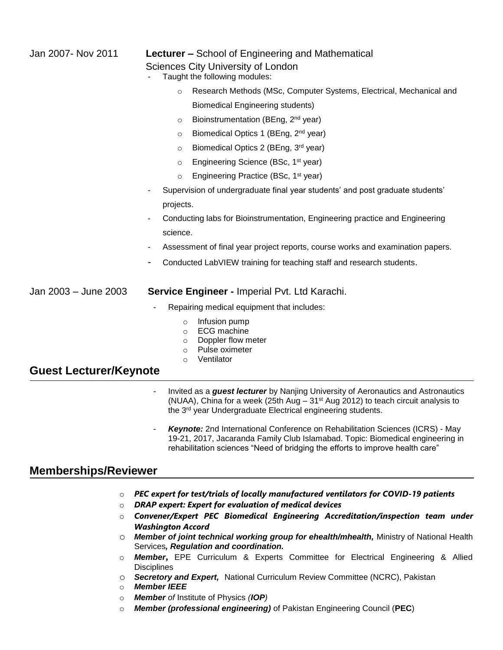| Jan 2007- Nov 2011            | <b>Lecturer</b> – School of Engineering and Mathematical<br><b>Sciences City University of London</b>                                                                                                                                            |  |
|-------------------------------|--------------------------------------------------------------------------------------------------------------------------------------------------------------------------------------------------------------------------------------------------|--|
|                               | Taught the following modules:                                                                                                                                                                                                                    |  |
|                               | Research Methods (MSc, Computer Systems, Electrical, Mechanical and<br>$\circ$                                                                                                                                                                   |  |
|                               | <b>Biomedical Engineering students)</b>                                                                                                                                                                                                          |  |
|                               | Bioinstrumentation (BEng, 2 <sup>nd</sup> year)<br>$\circ$                                                                                                                                                                                       |  |
|                               | Biomedical Optics 1 (BEng, 2 <sup>nd</sup> year)<br>$\circ$                                                                                                                                                                                      |  |
|                               | Biomedical Optics 2 (BEng, 3rd year)<br>$\circ$                                                                                                                                                                                                  |  |
|                               | Engineering Science (BSc, 1 <sup>st</sup> year)<br>$\circ$                                                                                                                                                                                       |  |
|                               | Engineering Practice (BSc, 1 <sup>st</sup> year)<br>$\circ$                                                                                                                                                                                      |  |
|                               | Supervision of undergraduate final year students' and post graduate students'                                                                                                                                                                    |  |
|                               | projects.                                                                                                                                                                                                                                        |  |
|                               | Conducting labs for Bioinstrumentation, Engineering practice and Engineering                                                                                                                                                                     |  |
|                               | science.                                                                                                                                                                                                                                         |  |
|                               | Assessment of final year project reports, course works and examination papers.                                                                                                                                                                   |  |
|                               | Conducted LabVIEW training for teaching staff and research students.                                                                                                                                                                             |  |
| Jan 2003 - June 2003          | Service Engineer - Imperial Pvt. Ltd Karachi.                                                                                                                                                                                                    |  |
|                               | Repairing medical equipment that includes:                                                                                                                                                                                                       |  |
|                               | Infusion pump<br>$\circ$<br><b>ECG</b> machine<br>$\circ$<br>Doppler flow meter<br>$\circ$<br>Pulse oximeter<br>O<br>Ventilator<br>$\circ$                                                                                                       |  |
| <b>Guest Lecturer/Keynote</b> |                                                                                                                                                                                                                                                  |  |
|                               | Invited as a guest lecturer by Nanjing University of Aeronautics and Astronautics<br>(NUAA), China for a week (25th Aug - 31 <sup>st</sup> Aug 2012) to teach circuit analysis to<br>the 3rd year Undergraduate Electrical engineering students. |  |
|                               | Keynote: 2nd International Conference on Rehabilitation Sciences (ICRS) - May                                                                                                                                                                    |  |

19-21, 2017, Jacaranda Family Club Islamabad. Topic: Biomedical engineering in rehabilitation sciences "Need of bridging the efforts to improve health care"

# **Memberships/Reviewer**

- o *PEC expert for test/trials of locally manufactured ventilators for COVID-19 patients*
- o *DRAP expert: Expert for evaluation of medical devices*
- o *Convener/Expert PEC Biomedical Engineering Accreditation/inspection team under Washington Accord*
- o *Member of joint technical working group for ehealth/mhealth,* Ministry of National Health Services*, Regulation and coordination.*
- o *Member***,** EPE Curriculum & Experts Committee for Electrical Engineering & Allied **Disciplines**
- o *Secretory and Expert,* National Curriculum Review Committee (NCRC), Pakistan
- o *Member IEEE*
- o *Member of* Institute of Physics *(IOP)*
- o *Member (professional engineering)* of Pakistan Engineering Council (**PEC**)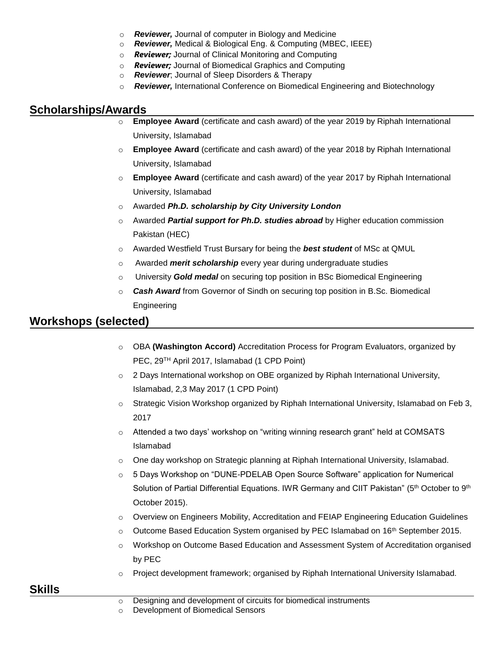- o *Reviewer,* Journal of computer in Biology and Medicine
- o *Reviewer,* Medical & Biological Eng. & Computing (MBEC, IEEE)
- o *Reviewer;* Journal of Clinical Monitoring and Computing
- o *Reviewer;* Journal of Biomedical Graphics and Computing
- o *Reviewer*; Journal of Sleep Disorders & Therapy
- o *Reviewer,* International Conference on Biomedical Engineering and Biotechnology

#### **Scholarships/Awards**

- o **Employee Award** (certificate and cash award) of the year 2019 by Riphah International University, Islamabad
- o **Employee Award** (certificate and cash award) of the year 2018 by Riphah International University, Islamabad
- o **Employee Award** (certificate and cash award) of the year 2017 by Riphah International University, Islamabad
- o Awarded *Ph.D. scholarship by City University London*
- o Awarded *Partial support for Ph.D. studies abroad* by Higher education commission Pakistan (HEC)
- o Awarded Westfield Trust Bursary for being the *best student* of MSc at QMUL
- o Awarded *merit scholarship* every year during undergraduate studies
- o University *Gold medal* on securing top position in BSc Biomedical Engineering
- o *Cash Award* from Governor of Sindh on securing top position in B.Sc. Biomedical Engineering

# **Workshops (selected)**

- o OBA **(Washington Accord)** Accreditation Process for Program Evaluators, organized by PEC, 29TH April 2017, Islamabad (1 CPD Point)
- o 2 Days International workshop on OBE organized by Riphah International University, Islamabad, 2,3 May 2017 (1 CPD Point)
- $\circ$  Strategic Vision Workshop organized by Riphah International University, Islamabad on Feb 3, 2017
- o Attended a two days' workshop on "writing winning research grant" held at COMSATS Islamabad
- o One day workshop on Strategic planning at Riphah International University, Islamabad.
- o 5 Days Workshop on "DUNE-PDELAB Open Source Software" application for Numerical Solution of Partial Differential Equations. IWR Germany and CIIT Pakistan" (5th October to 9th October 2015).
- $\circ$  Overview on Engineers Mobility, Accreditation and FEIAP Engineering Education Guidelines
- $\circ$  Outcome Based Education System organised by PEC Islamabad on 16<sup>th</sup> September 2015.
- o Workshop on Outcome Based Education and Assessment System of Accreditation organised by PEC
- Project development framework; organised by Riphah International University Islamabad.

### **Skills**

o Designing and development of circuits for biomedical instruments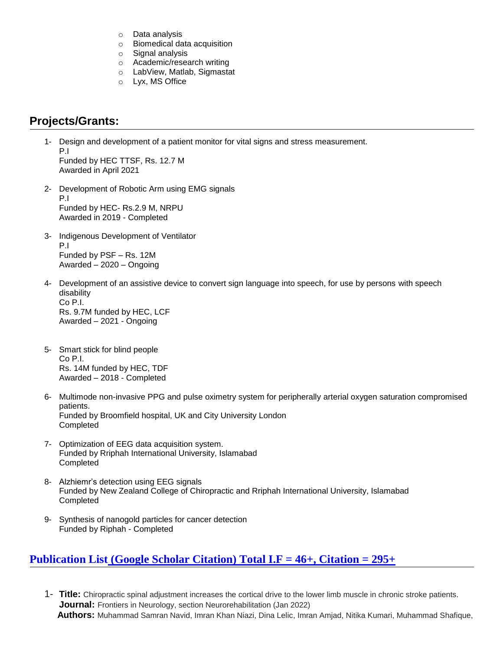- o Data analysis
- o Biomedical data acquisition
- o Signal analysis
- o Academic/research writing
- o LabView, Matlab, Sigmastat
- o Lyx, MS Office

# **Projects/Grants:**

- 1- Design and development of a patient monitor for vital signs and stress measurement. P.I Funded by HEC TTSF, Rs. 12.7 M Awarded in April 2021
- 2- Development of Robotic Arm using EMG signals P.I Funded by HEC- Rs.2.9 M, NRPU Awarded in 2019 - Completed
- 3- Indigenous Development of Ventilator P.I Funded by PSF – Rs. 12M Awarded – 2020 – Ongoing
- 4- Development of an assistive device to convert sign language into speech, for use by persons with speech disability Co P.I. Rs. 9.7M funded by HEC, LCF Awarded – 2021 - Ongoing
- 5- Smart stick for blind people Co P.I. Rs. 14M funded by HEC, TDF Awarded – 2018 - Completed
- 6- Multimode non-invasive PPG and pulse oximetry system for peripherally arterial oxygen saturation compromised patients. Funded by Broomfield hospital, UK and City University London Completed
- 7- Optimization of EEG data acquisition system. Funded by Rriphah International University, Islamabad Completed
- 8- Alzhiemr's detection using EEG signals Funded by New Zealand College of Chiropractic and Rriphah International University, Islamabad Completed
- 9- Synthesis of nanogold particles for cancer detection Funded by Riphah - Completed

### **[Publication List](http://scholar.google.com.pk/citations?user=QsfFhUAAAAAJ&hl=en) [\(Google Scholar Citation\)](https://scholar.google.com.pk/citations?user=QsfFhUAAAAAJ&hl=en) Total I.F = 46+, Citation = 295+**

1- **Title:** Chiropractic spinal adjustment increases the cortical drive to the lower limb muscle in chronic stroke patients. **Journal:** Frontiers in Neurology, section Neurorehabilitation (Jan 2022)  **Authors:** Muhammad Samran Navid, Imran Khan Niazi, Dina Lelic, Imran Amjad, Nitika Kumari, Muhammad Shafique,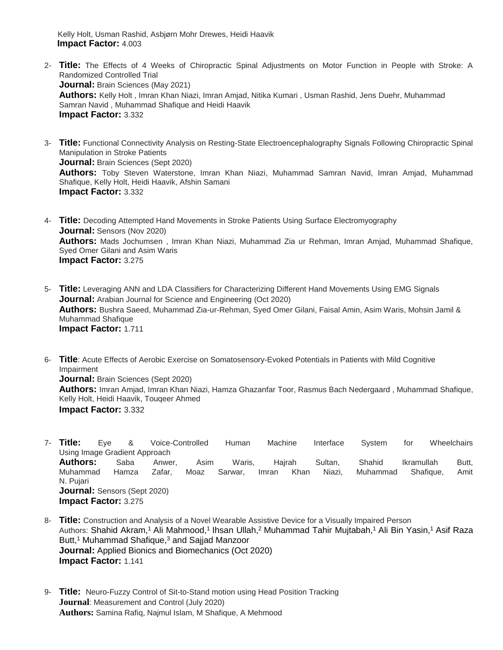Kelly Holt, Usman Rashid, Asbjørn Mohr Drewes, Heidi Haavik  **Impact Factor:** 4.003

- 2- **Title:** The Effects of 4 Weeks of Chiropractic Spinal Adjustments on Motor Function in People with Stroke: A Randomized Controlled Trial **Journal:** Brain Sciences (May 2021) **Authors:** Kelly Holt , Imran Khan Niazi, Imran Amjad, Nitika Kumari , Usman Rashid, Jens Duehr, Muhammad Samran Navid , Muhammad Shafique and Heidi Haavik **Impact Factor:** 3.332
- 3- **Title:** Functional Connectivity Analysis on Resting-State Electroencephalography Signals Following Chiropractic Spinal Manipulation in Stroke Patients **Journal: Brain Sciences (Sept 2020) Authors:** Toby Steven Waterstone, Imran Khan Niazi, Muhammad Samran Navid, Imran Amjad, Muhammad Shafique, Kelly Holt, Heidi Haavik, Afshin Samani **Impact Factor:** 3.332
- 4- **Title:** Decoding Attempted Hand Movements in Stroke Patients Using Surface Electromyography **Journal:** Sensors (Nov 2020) **Authors:** Mads Jochumsen , Imran Khan Niazi, Muhammad Zia ur Rehman, Imran Amjad, Muhammad Shafique, Syed Omer Gilani and Asim Waris **Impact Factor:** 3.275
- 5- **Title:** Leveraging ANN and LDA Classifiers for Characterizing Different Hand Movements Using EMG Signals **Journal:** [Arabian Journal for Science and Engineering](https://www.springer.com/journal/13369/) (Oct 2020) **Authors:** [Bushra Saeed,](javascript:;) [Muhammad Zia-ur-Rehman,](javascript:;) [Syed Omer Gilani,](javascript:;) [Faisal Amin,](javascript:;) [Asim Waris,](javascript:;) [Mohsin Jamil](javascript:;) & [Muhammad Shafique](javascript:;) **Impact Factor:** 1.711
- 6- **Title**: Acute Effects of Aerobic Exercise on Somatosensory-Evoked Potentials in Patients with Mild Cognitive Impairment **Journal:** Brain Sciences (Sept 2020) **Authors:** Imran Amjad, Imran Khan Niazi, Hamza Ghazanfar Toor, [Rasmus Bach Nedergaard](https://sciprofiles.com/profile/690045) , [Muhammad Shafique,](https://sciprofiles.com/profile/1260096) Kelly Holt, [Heidi Haavik,](https://sciprofiles.com/profile/211720) [Touqeer Ahmed](https://sciprofiles.com/profile/1231281) **Impact Factor:** 3.332
- 7- **Title:** Eye & Voice-Controlled Human Machine Interface System for Wheelchairs Using Image Gradient Approach **Authors:** Saba Anwer, Asim Waris, Hajrah Sultan, Shahid Ikramullah Butt, Muhammad Hamza Zafar, Moaz Sarwar, Imran Khan Niazi, Muhammad Shafique, Amit N. Pujari **Journal:** Sensors (Sept 2020) **Impact Factor:** 3.275
- 8- **Title:** Construction and Analysis of a Novel Wearable Assistive Device for a Visually Impaired Person Authors: Shahid Akram,<sup>1</sup> Ali Mahmood,<sup>1</sup> Ihsan Ullah,<sup>2</sup> Muhammad Tahir Mujtabah,<sup>1</sup> Ali Bin Yasin,<sup>1</sup> Asif Raza Butt,<sup>1</sup> Muhammad Shafique,<sup>3</sup> and Sajjad Manzoor **Journal:** Applied Bionics and Biomechanics (Oct 2020) **Impact Factor:** 1.141
- 9- **Title:** Neuro-Fuzzy Control of Sit-to-Stand motion using Head Position Tracking **Journal**: Measurement and Control (July 2020) **Authors:** Samina Rafiq, Najmul Islam, M Shafique, A Mehmood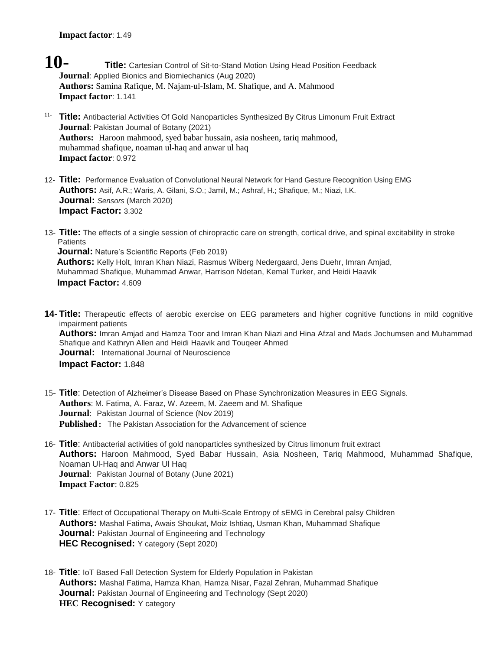- **10- Title:** Cartesian Control of Sit-to-Stand Motion Using Head Position Feedback **Journal**: Applied Bionics and Biomiechanics (Aug 2020) **Authors:** Samina Rafique, M. Najam-ul-Islam, M. Shafique, and A. Mahmood **Impact factor**: 1.141
- 11- **Title:** Antibacterial Activities Of Gold Nanoparticles Synthesized By Citrus Limonum Fruit Extract **Journal**: Pakistan Journal of Botany (2021) **Authors:** Haroon mahmood, syed babar hussain, asia nosheen, tariq mahmood, muhammad shafique, noaman ul-haq and anwar ul haq **Impact factor**: 0.972
- 12- **Title:** Performance Evaluation of Convolutional Neural Network for Hand Gesture Recognition Using EMG **Authors:** Asif, A.R.; Waris, A. Gilani, S.O.; Jamil, M.; Ashraf, H.; Shafique, M.; Niazi, I.K. **Journal:** *Sensors* (March 2020) **Impact Factor:** 3.302
- 13- **Title:** The effects of a single session of chiropractic care on strength, cortical drive, and spinal excitability in stroke **Patients**

**Journal:** Nature's Scientific Reports (Feb 2019) **Authors:** Kelly Holt, Imran Khan Niazi, Rasmus Wiberg Nedergaard, Jens Duehr, Imran Amjad, Muhammad Shafique, Muhammad Anwar, Harrison Ndetan, Kemal Turker, and Heidi Haavik  **Impact Factor:** 4.609

- **14- Title:** Therapeutic effects of aerobic exercise on EEG parameters and higher cognitive functions in mild cognitive impairment patients **Authors:** Imran Amjad and Hamza Toor and Imran Khan Niazi and Hina Afzal and Mads Jochumsen and Muhammad Shafique and Kathryn Allen and Heidi Haavik and Touqeer Ahmed **Journal:** International Journal of Neuroscience **Impact Factor:** 1.848
- 15- **Title**: Detection of Alzheimer's Disease Based on Phase Synchronization Measures in EEG Signals. **Authors**: M. Fatima, A. Faraz, W. Azeem, M. Zaeem and M. Shafique **Journal**: Pakistan Journal of Science (Nov 2019) **Published**: The Pakistan Association for the Advancement of science
- 16- **Title**: Antibacterial activities of gold nanoparticles synthesized by Citrus limonum fruit extract **Authors:** Haroon Mahmood, Syed Babar Hussain, Asia Nosheen, Tariq Mahmood, Muhammad Shafique, Noaman Ul-Haq and Anwar Ul Haq **Journal**: Pakistan Journal of Botany (June 2021) **Impact Factor**: 0.825
- 17- **Title**: [Effect of Occupational Therapy on Multi-Scale Entropy of sEMG in Cerebral palsy Children](https://sites2.uol.edu.pk/journals/index.php/pakjet/article/view/431) **Authors:** Mashal Fatima, Awais Shoukat, Moiz Ishtiaq, Usman Khan, Muhammad Shafique **Journal:** Pakistan Journal of Engineering and Technology **HEC Recognised:** Y category (Sept 2020)
- 18- **Title**: [IoT Based Fall Detection System for Elderly Population in Pakistan](https://sites2.uol.edu.pk/journals/index.php/pakjet/article/view/432) **Authors:** Mashal Fatima, Hamza Khan, Hamza Nisar, Fazal Zehran, Muhammad Shafique **Journal:** Pakistan Journal of Engineering and Technology (Sept 2020) **HEC Recognised:** Y category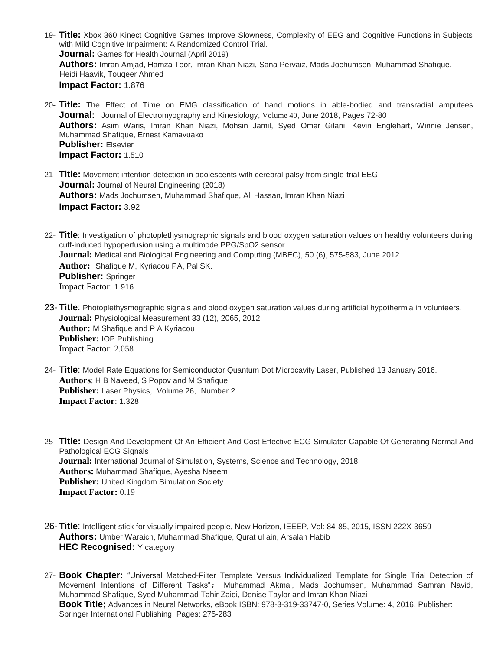- 19- **Title:** Xbox 360 Kinect Cognitive Games Improve Slowness, Complexity of EEG and Cognitive Functions in Subjects with Mild Cognitive Impairment: A Randomized Control Trial. **Journal:** Games for Health Journal (April 2019) **Authors:** Imran Amjad, Hamza Toor, Imran Khan Niazi, Sana Pervaiz, Mads Jochumsen, Muhammad Shafique, Heidi Haavik, Touqeer Ahmed **Impact Factor:** 1.876
- 20- **Title:** The Effect of Time on EMG classification of hand motions in able-bodied and transradial amputees **Journal:** Journal of Electromyography and Kinesiology, [Volume 40](https://www.sciencedirect.com/science/journal/10506411/40/supp/C), June 2018, Pages 72-80 **Authors:** Asim Waris, Imran Khan Niazi, Mohsin Jamil, Syed Omer Gilani, Kevin Englehart, Winnie Jensen, Muhammad Shafique, Ernest Kamavuako **Publisher:** Elsevier **Impact Factor:** 1.510
- 21- **Title:** Movement intention detection in adolescents with cerebral palsy from single-trial EEG **Journal:** Journal of Neural Engineering (2018) **Authors:** Mads Jochumsen, Muhammad Shafique, Ali Hassan, Imran Khan Niazi **Impact Factor:** 3.92
- 22- **Title**: Investigation of photoplethysmographic signals and blood oxygen saturation values on healthy volunteers during cuff-induced hypoperfusion using a multimode PPG/SpO2 sensor. **Journal:** Medical and Biological Engineering and Computing (MBEC), 50 (6), 575-583, June 2012. **Author:** Shafique M, Kyriacou PA, Pal SK. **Publisher:** Springer Impact Factor: 1.916
- 23- **Title**: Photoplethysmographic signals and blood oxygen saturation values during artificial hypothermia in volunteers. **Journal:** Physiological Measurement 33 (12), 2065, 2012 **Author:** M Shafique and P A Kyriacou **Publisher:** IOP Publishing Impact Factor: 2.058
- 24- **Title**: Model Rate Equations for Semiconductor Quantum Dot Microcavity Laser, Published 13 January 2016. **Authors**: H B Naveed, S Popov and M Shafique **Publisher:** Laser Physics, Volume 26, Number 2 **Impact Factor**: 1.328
- 25- **Title:** Design And Development Of An Efficient And Cost Effective ECG Simulator Capable Of Generating Normal And Pathological ECG Signals **Journal:** International Journal of Simulation, Systems, Science and Technology, 2018 **Authors:** Muhammad Shafique, Ayesha Naeem **Publisher:** [United Kingdom Simulation Society](http://uksim.info/) **Impact Factor:** 0.19
- 26- **Title**: Intelligent stick for visually impaired people, New Horizon, IEEEP, Vol: 84-85, 2015, ISSN 222X-3659 **Authors:** Umber Waraich, Muhammad Shafique, Qurat ul ain, Arsalan Habib **HEC Recognised:** Y category
- 27- **Book Chapter:** "Universal Matched-Filter Template Versus Individualized Template for Single Trial Detection of Movement Intentions of Different Tasks"; Muhammad Akmal, Mads Jochumsen, Muhammad Samran Navid, Muhammad Shafique, Syed Muhammad Tahir Zaidi, Denise Taylor and Imran Khan Niazi **Book Title;** Advances in Neural Networks, eBook ISBN: 978-3-319-33747-0, Series Volume: 4, 2016, Publisher: Springer International Publishing, Pages: 275-283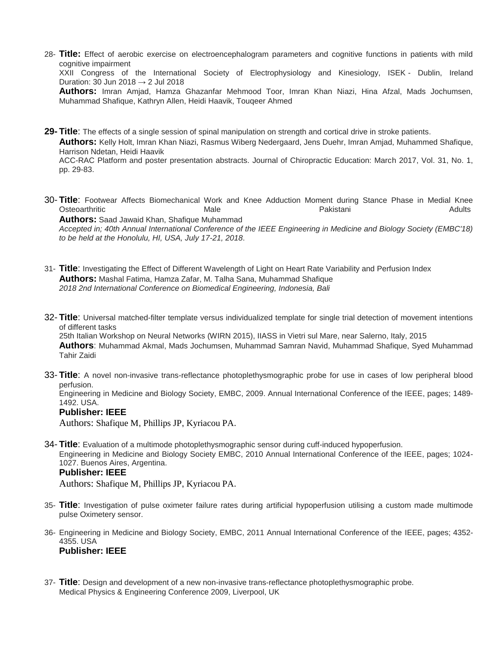28- **Title:** Effect of aerobic exercise on electroencephalogram parameters and cognitive functions in patients with mild cognitive impairment XXII Congress of the International Society of Electrophysiology and Kinesiology, ISEK - Dublin, Ireland Duration: 30 Jun 2018 → 2 Jul 2018 **Authors:** Imran Amjad, Hamza Ghazanfar Mehmood Toor, Imran Khan Niazi, Hina Afzal, Mads Jochumsen, Muhammad Shafique, Kathryn Allen, Heidi Haavik, Touqeer Ahmed

**29- Title**: The effects of a single session of spinal manipulation on strength and cortical drive in stroke patients. **Authors:** Kelly Holt, Imran Khan Niazi, Rasmus Wiberg Nedergaard, Jens Duehr, Imran Amjad, Muhammed Shafique, Harrison Ndetan, Heidi Haavik

ACC-RAC Platform and poster presentation abstracts. Journal of Chiropractic Education: March 2017, Vol. 31, No. 1, pp. 29-83.

- 30- **Title**: Footwear Affects Biomechanical Work and Knee Adduction Moment during Stance Phase in Medial Knee Osteoarthritic Male Pakistani Adults **Authors:** Saad Jawaid Khan, Shafique Muhammad *Accepted in; 40th Annual International Conference of the IEEE Engineering in Medicine and Biology Society (EMBC'18) to be held at the Honolulu, HI, USA, July 17-21, 2018*.
- 31- **Title**: [Investigating the Effect of Different Wavelength of Light on Heart Rate Variability and Perfusion Index](https://edas.info/showPaper.php?m=1570444006) **Authors:** Mashal Fatima, Hamza Zafar, M. Talha Sana, Muhammad Shafique *2018 2nd International Conference on Biomedical Engineering, Indonesia, Bali*
- 32- **Title**: Universal matched-filter template versus individualized template for single trial detection of movement intentions of different tasks

25th Italian Workshop on Neural Networks (WIRN 2015), IIASS in Vietri sul Mare, near Salerno, Italy, 2015 **Authors**: Muhammad Akmal, [Mads Jochumsen,](http://vbn.aau.dk/en/persons/mads-jochumsen(b93a11b5-4ec8-41cc-a6b8-2f84af852e10).html) Muhammad Samran Navid, Muhammad Shafique, Syed Muhammad Tahir Zaidi

33- **Title**: A novel non-invasive trans-reflectance photoplethysmographic probe for use in cases of low peripheral blood perfusion.

Engineering in Medicine and Biology Society, EMBC, 2009. Annual International Conference of the IEEE, pages; 1489- 1492. USA.

#### **Publisher: IEEE**

Authors: [Shafique M](http://www.ncbi.nlm.nih.gov/pubmed/?term=Shafique%20M%5BAuthor%5D&cauthor=true&cauthor_uid=19964531), [Phillips JP](http://www.ncbi.nlm.nih.gov/pubmed/?term=Phillips%20JP%5BAuthor%5D&cauthor=true&cauthor_uid=19964531), [Kyriacou PA](http://www.ncbi.nlm.nih.gov/pubmed/?term=Kyriacou%20PA%5BAuthor%5D&cauthor=true&cauthor_uid=19964531).

34- **Title**: Evaluation of a multimode photoplethysmographic sensor during cuff-induced hypoperfusion. Engineering in Medicine and Biology Society EMBC, 2010 Annual International Conference of the IEEE, pages; 1024- 1027. Buenos Aires, Argentina.

#### **Publisher: IEEE**

Authors: [Shafique M](http://www.ncbi.nlm.nih.gov/pubmed/?term=Shafique%20M%5BAuthor%5D&cauthor=true&cauthor_uid=19964531), [Phillips JP](http://www.ncbi.nlm.nih.gov/pubmed/?term=Phillips%20JP%5BAuthor%5D&cauthor=true&cauthor_uid=19964531), [Kyriacou PA](http://www.ncbi.nlm.nih.gov/pubmed/?term=Kyriacou%20PA%5BAuthor%5D&cauthor=true&cauthor_uid=19964531).

- 35- **Title**: Investigation of pulse oximeter failure rates during artificial hypoperfusion utilising a custom made multimode pulse Oximetery sensor.
- 36- Engineering in Medicine and Biology Society, EMBC, 2011 Annual International Conference of the IEEE, pages; 4352- 4355. USA **Publisher: IEEE**
- 37- **Title**: Design and development of a new non-invasive trans-reflectance photoplethysmographic probe. Medical Physics & Engineering Conference 2009, Liverpool, UK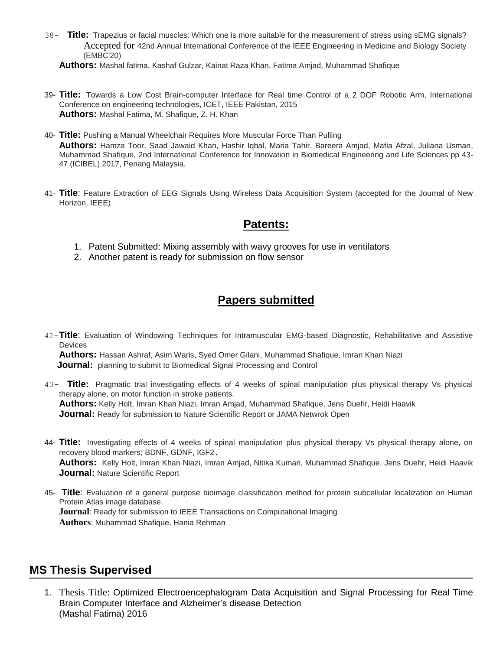38- **Title:** Trapezius or facial muscles: Which one is more suitable for the measurement of stress using sEMG signals? Accepted for 42nd Annual International Conference of the IEEE Engineering in Medicine and Biology Society (EMBC'20)

**Authors:** Mashal fatima, Kashaf Gulzar, Kainat Raza Khan, Fatima Amjad, Muhammad Shafique

- 39- **Title:** Towards a Low Cost Brain-computer Interface for Real time Control of a 2 DOF Robotic Arm, International Conference on engineering technologies, ICET, IEEE Pakistan, 2015 **Authors:** Mashal Fatima, M. Shafique, Z. H. Khan
- 40- **Title:** Pushing a Manual Wheelchair Requires More Muscular Force Than Pulling **Authors:** Hamza Toor, Saad Jawaid Khan, Hashir Iqbal, Maria Tahir, Bareera Amjad, Mafia Afzal, Juliana Usman, Muhammad Shafique, [2nd International Conference for Innovation in Biomedical Engineering and Life Sciences](https://link.springer.com/book/10.1007/978-981-10-7554-4) pp 43- 47 (ICIBEL) 2017, Penang Malaysia.
- 41- **Title**: Feature Extraction of EEG Signals Using Wireless Data Acquisition System (accepted for the Journal of New Horizon, IEEE)

#### **Patents:**

- 1. Patent Submitted: Mixing assembly with wavy grooves for use in ventilators
- 2. Another patent is ready for submission on flow sensor

### **Papers submitted**

42-**Title**: Evaluation of Windowing Techniques for Intramuscular EMG-based Diagnostic, Rehabilitative and Assistive **Devices** 

**Authors:** Hassan Ashraf, Asim Waris, Syed Omer Gilani, Muhammad Shafique, Imran Khan Niazi **Journal:** planning to submit to Biomedical Signal Processing and Control

- 43- **Title:** Pragmatic trial investigating effects of 4 weeks of spinal manipulation plus physical therapy Vs physical therapy alone, on motor function in stroke patients. **Authors:** Kelly Holt, Imran Khan Niazi, Imran Amjad, Muhammad Shafique, Jens Duehr, Heidi Haavik **Journal:** Ready for submission to Nature Scientific Report or JAMA Netwrok Open
- 44- **Title:** Investigating effects of 4 weeks of spinal manipulation plus physical therapy Vs physical therapy alone, on recovery blood markers; BDNF, GDNF, IGF2. **Authors:** Kelly Holt, Imran Khan Niazi, Imran Amjad, Nitika Kumari, Muhammad Shafique, Jens Duehr, Heidi Haavik **Journal:** Nature Scientific Report
- 45- **Title**: Evaluation of a general purpose bioimage classification method for protein subcellular localization on Human Protein Atlas image database. **Journal**: Ready for submission to IEEE Transactions on Computational Imaging **Authors**: Muhammad Shafique, Hania Rehman

### **MS Thesis Supervised**

1. Thesis Title: Optimized Electroencephalogram Data Acquisition and Signal Processing for Real Time Brain Computer Interface and Alzheimer's disease Detection (Mashal Fatima) 2016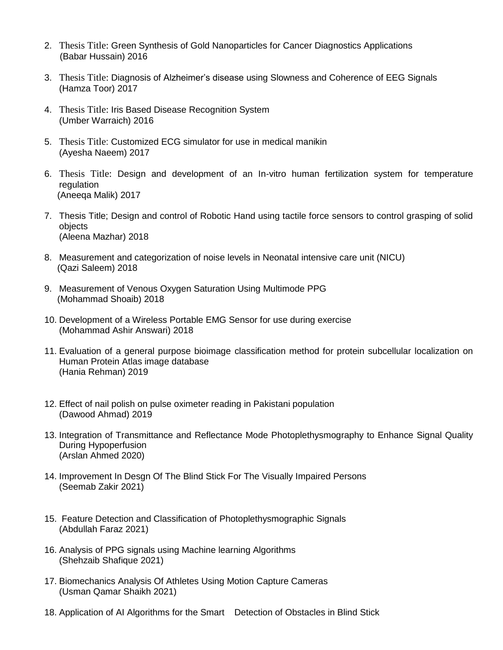- 2. Thesis Title: Green Synthesis of Gold Nanoparticles for Cancer Diagnostics Applications (Babar Hussain) 2016
- 3. Thesis Title: Diagnosis of Alzheimer's disease using Slowness and Coherence of EEG Signals (Hamza Toor) 2017
- 4. Thesis Title: Iris Based Disease Recognition System (Umber Warraich) 2016
- 5. Thesis Title: Customized ECG simulator for use in medical manikin (Ayesha Naeem) 2017
- 6. Thesis Title: Design and development of an In-vitro human fertilization system for temperature regulation (Aneeqa Malik) 2017
- 7. Thesis Title; Design and control of Robotic Hand using tactile force sensors to control grasping of solid objects (Aleena Mazhar) 2018
- 8. Measurement and categorization of noise levels in Neonatal intensive care unit (NICU) (Qazi Saleem) 2018
- 9. Measurement of Venous Oxygen Saturation Using Multimode PPG (Mohammad Shoaib) 2018
- 10. Development of a Wireless Portable EMG Sensor for use during exercise (Mohammad Ashir Answari) 2018
- 11. Evaluation of a general purpose bioimage classification method for protein subcellular localization on Human Protein Atlas image database (Hania Rehman) 2019
- 12. Effect of nail polish on pulse oximeter reading in Pakistani population (Dawood Ahmad) 2019
- 13. Integration of Transmittance and Reflectance Mode Photoplethysmography to Enhance Signal Quality During Hypoperfusion (Arslan Ahmed 2020)
- 14. Improvement In Desgn Of The Blind Stick For The Visually Impaired Persons (Seemab Zakir 2021)
- 15. Feature Detection and Classification of Photoplethysmographic Signals (Abdullah Faraz 2021)
- 16. Analysis of PPG signals using Machine learning Algorithms (Shehzaib Shafique 2021)
- 17. Biomechanics Analysis Of Athletes Using Motion Capture Cameras (Usman Qamar Shaikh 2021)
- 18. Application of AI Algorithms for the Smart Detection of Obstacles in Blind Stick